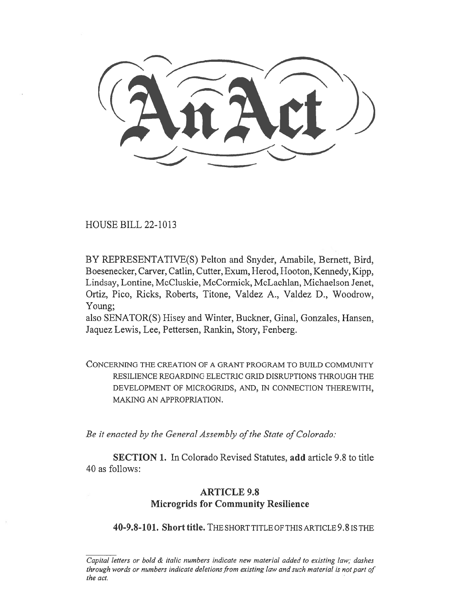,,.

HOUSE BILL 22-1013

BY REPRESENTATIVE(S) Pelton and Snyder, Amabile, Bernett, Bird, Boesenecker, Carver, Catlin, Cutter, Exum, Herod, Hooton, Kennedy, Kipp, Lindsay, Lontine, McCluskie, McCormick, McLachlan, Michaelson Jenet, Ortiz, Pico, Ricks, Roberts, Titone, Valdez A., Valdez D., Woodrow, Young;

also SENATOR(S) Hisey and Winter, Buckner, Ginal, Gonzales, Hansen, Jaquez Lewis, Lee, Pettersen, Rankin, Story, Fenberg.

CONCERNING THE CREATION OF A GRANT PROGRAM TO BUILD COMMUNITY RESILIENCE REGARDING ELECTRIC GRID DISRUPTIONS THROUGH THE DEVELOPMENT OF MICROGRIDS, AND, IN CONNECTION THEREWITH, MAKING AN APPROPRIATION.

Be it enacted by the General Assembly of the State of Colorado:

SECTION 1. In Colorado Revised Statutes, add article 9.8 to title 40 as follows:

## ARTICLE 9.8 Microgrids for Community Resilience

40-9.8-101. Short title. THE SHORT TITLE OF THIS ARTICLE 9.8 IS THE

Capital letters or bold  $\&$  italic numbers indicate new material added to existing law; dashes through words or numbers indicate deletions from existing law and such material is not part of the act.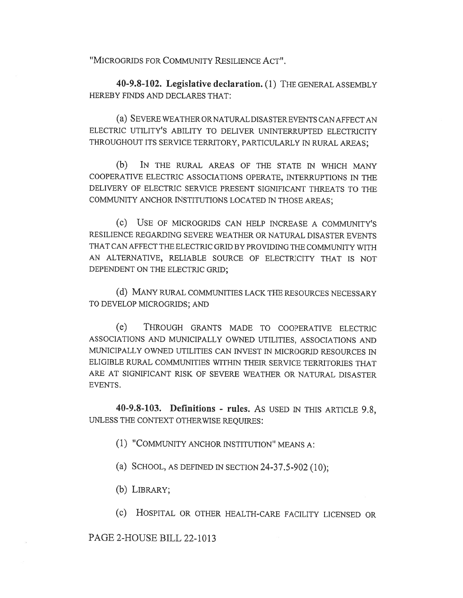"MICROGRIDS FOR COMMUNITY RESILIENCE ACT".

40-9.8-102. Legislative declaration. (1) THE GENERAL ASSEMBLY HEREBY FINDS AND DECLARES THAT:

(a) SEVERE WEATHER OR NATURAL DISASTER EVENTS CAN AFFECT AN ELECTRIC UTILITY'S ABILITY TO DELIVER UNINTERRUPTED ELECTRICITY THROUGHOUT ITS SERVICE TERRITORY, PARTICULARLY IN RURAL AREAS;

(b) IN THE RURAL AREAS OF THE STATE IN WHICH MANY COOPERATIVE ELECTRIC ASSOCIATIONS OPERATE, INTERRUPTIONS IN THE DELIVERY OF ELECTRIC SERVICE PRESENT SIGNIFICANT THREATS TO THE COMMUNITY ANCHOR INSTITUTIONS LOCATED IN THOSE AREAS;

(c) USE OF MICROGRIDS CAN HELP INCREASE A COMMUNITY'S RESILIENCE REGARDING SEVERE WEATHER OR NATURAL DISASTER EVENTS THAT CAN AFFECT THE ELECTRIC GRID BY PROVIDING THE COMMUNITY WITH AN ALTERNATIVE, RELIABLE SOURCE OF ELECTRICITY THAT IS NOT DEPENDENT ON THE ELECTRIC GRID;

(d) MANY RURAL COMMUNITIES LACK THE RESOURCES NECESSARY TO DEVELOP MICROGRIDS; AND

(e) THROUGH GRANTS MADE TO COOPERATIVE ELECTRIC ASSOCIATIONS AND MUNICIPALLY OWNED UTILITIES, ASSOCIATIONS AND MUNICIPALLY OWNED UTILITIES CAN INVEST IN MICROGRID RESOURCES IN ELIGIBLE RURAL COMMUNITIES WITHIN THEIR SERVICE TERRITORIES THAT ARE AT SIGNIFICANT RISK OF SEVERE WEATHER OR NATURAL DISASTER EVENTS.

40-9.8-103. Definitions - rules. AS USED IN THIS ARTICLE 9.8, UNLESS THE CONTEXT OTHERWISE REQUIRES:

(1) "COMMUNITY ANCHOR INSTITUTION" MEANS A:

(a) SCHOOL, AS DEFINED IN SECTION 24-37.5-902 (10);

(b) LIBRARY;

(c) HOSPITAL OR OTHER HEALTH-CARE FACILITY LICENSED OR

PAGE 2-HOUSE BILL 22-1013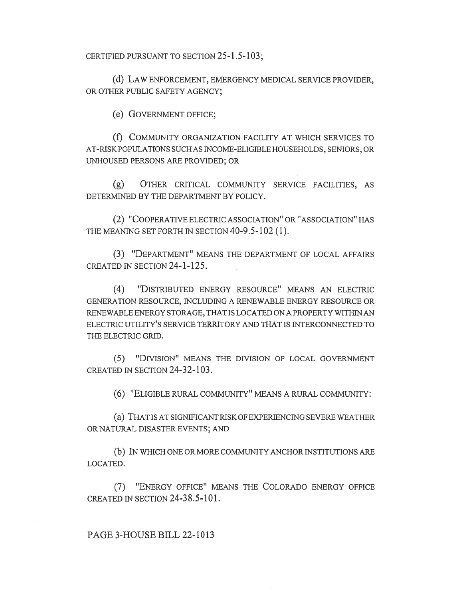CERTIFIED PURSUANT TO SECTION 25-1.5-103;

(d) LAW ENFORCEMENT, EMERGENCY MEDICAL SERVICE PROVIDER, OR OTHER PUBLIC SAFETY AGENCY;

(e) GOVERNMENT OFFICE;

(f) COMMUNITY ORGANIZATION FACILITY AT WHICH SERVICES TO AT-RISK POPULATIONS SUCH AS INCOME-ELIGIBLE HOUSEHOLDS, SENIORS, OR UNHOUSED PERSONS ARE PROVIDED; OR

(g) OTHER CRITICAL COMMUNITY SERVICE FACILITIES, AS DETERMINED BY THE DEPARTMENT BY POLICY.

(2) "COOPERATIVE ELECTRIC ASSOCIATION" OR "ASSOCIATION" HAS THE MEANING SET FORTH IN SECTION 40-9.5-102 (1).

(3) "DEPARTMENT" MEANS THE DEPARTMENT OF LOCAL AFFAIRS CREATED IN SECTION 24-1-125.

(4) "DISTRIBUTED ENERGY RESOURCE" MEANS AN ELECTRIC GENERATION RESOURCE, INCLUDING A RENEWABLE ENERGY RESOURCE OR RENEWABLE ENERGY STORAGE, THAT IS LOCATED ON A PROPERTY WITHIN AN ELECTRIC UTILITY'S SERVICE TERRITORY AND THAT IS INTERCONNECTED TO THE ELECTRIC GRID.

(5) "DIVISION" MEANS THE DIVISION OF LOCAL GOVERNMENT CREATED IN SECTION 24-32-103.

(6) "ELIGIBLE RURAL COMMUNITY" MEANS A RURAL COMMUNITY:

(a) THAT IS AT SIGNIFICANT RISK OF EXPERIENCING SEVERE WEATHER OR NATURAL DISASTER EVENTS; AND

(b) IN WHICH ONE OR MORE COMMUNITY ANCHOR INSTITUTIONS ARE LOCATED.

(7) "ENERGY OFFICE" MEANS THE COLORADO ENERGY OFFICE CREATED IN SECTION 24-38.5-101.

PAGE 3-HOUSE BILL 22-1013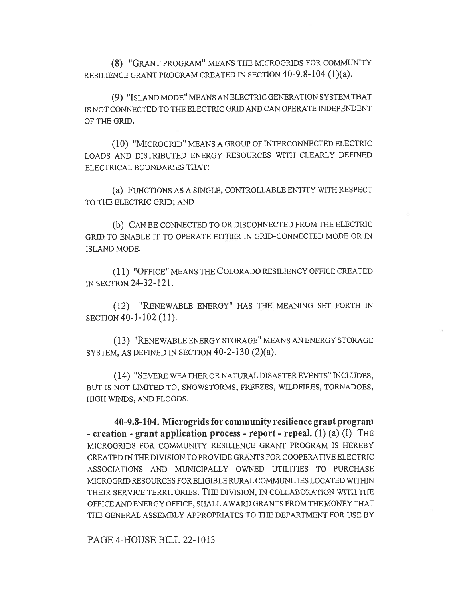(8) "GRANT PROGRAM" MEANS THE MICROGRIDS FOR COMMUNITY RESILIENCE GRANT PROGRAM CREATED IN SECTION 40-9.8-104 (1)(a).

(9) "ISLAND MODE" MEANS AN ELECTRIC GENERATION SYSTEM THAT IS NOT CONNECTED TO THE ELECTRIC GRID AND CAN OPERATE INDEPENDENT OF THE GRID.

(10) "MICROGRID" MEANS A GROUP OF INTERCONNECTED ELECTRIC LOADS AND DISTRIBUTED ENERGY RESOURCES WITH CLEARLY DEFINED ELECTRICAL BOUNDARIES THAT:

(a) FUNCTIONS AS A SINGLE, CONTROLLABLE ENTITY WITH RESPECT TO THE ELECTRIC GRID; AND

(b) CAN BE CONNECTED TO OR DISCONNECTED FROM THE ELECTRIC GRID TO ENABLE IT TO OPERATE EITHER IN GRID-CONNECTED MODE OR IN ISLAND MODE.

(1 1) "OFFICE" MEANS THE COLORADO RESILIENCY OFFICE CREATED IN SECTION 24-32-121.

(12) "RENEWABLE ENERGY" HAS THE MEANING SET FORTH IN SECTION 40-1-102 (11).

(13) "RENEWABLE ENERGY STORAGE" MEANS AN ENERGY STORAGE SYSTEM, AS DEFINED IN SECTION  $40-2-130$   $(2)(a)$ .

(14) "SEVERE WEATHER OR NATURAL DISASTER EVENTS" INCLUDES, BUT IS NOT LIMITED TO, SNOWSTORMS, FREEZES, WILDFIRES, TORNADOES, HIGH WINDS, AND FLOODS.

40-9.8-104. Microgrids for community resilience grant program - creation - grant application process - report - repeal.  $(1)$   $(a)$   $(I)$  THE MICROGRIDS FOR COMMUNITY RESILIENCE GRANT PROGRAM IS HEREBY CREATED IN THE DIVISION TO PROVIDE GRANTS FOR COOPERATIVE ELECTRIC ASSOCIATIONS AND MUNICIPALLY OWNED UTILITIES TO PURCHASE MICROGRID RESOURCES FOR ELIGIBLE RURAL COMMUNITIES LOCATED WITHIN THEIR SERVICE TERRITORIES. THE DIVISION, IN COLLABORATION WITH THE OFFICE AND ENERGY OFFICE, SHALL AWARD GRANTS FROM THE MONEY THAT THE GENERAL ASSEMBLY APPROPRIATES TO THE DEPARTMENT FOR USE BY

PAGE 4-HOUSE BILL 22-1013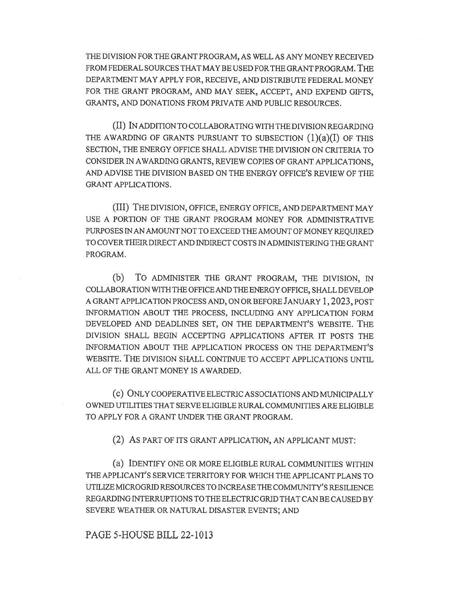THE DIVISION FOR THE GRANT PROGRAM, AS WELL AS ANY MONEY RECEIVED FROM FEDERAL SOURCES THAT MAY BE USED FOR THE GRANT PROGRAM. THE DEPARTMENT MAY APPLY FOR, RECEIVE, AND DISTRIBUTE FEDERAL MONEY FOR THE GRANT PROGRAM, AND MAY SEEK, ACCEPT, AND EXPEND GIFTS, GRANTS, AND DONATIONS FROM PRIVATE AND PUBLIC RESOURCES.

(II) IN ADDITION TO COLLABORATING WITH THE DIVISION REGARDING THE AWARDING OF GRANTS PURSUANT TO SUBSECTION  $(1)(a)(I)$  OF THIS SECTION, THE ENERGY OFFICE SHALL ADVISE THE DIVISION ON CRITERIA TO CONSIDER IN AWARDING GRANTS, REVIEW COPIES OF GRANT APPLICATIONS, AND ADVISE THE DIVISION BASED ON THE ENERGY OFFICE'S REVIEW OF THE GRANT APPLICATIONS.

(III) THE DIVISION, OFFICE, ENERGY OFFICE, AND DEPARTMENT MAY USE A PORTION OF THE GRANT PROGRAM MONEY FOR ADMINISTRATIVE PURPOSES IN AN AMOUNT NOT TO EXCEED THE AMOUNT OF MONEY REQUIRED TO COVER THEIR DIRECT AND INDIRECT COSTS IN ADMINISTERING THE GRANT PROGRAM.

(b) To ADMINISTER THE GRANT PROGRAM, THE DIVISION, IN COLLABORATION WITH THE OFFICE AND THE ENERGY OFFICE, SHALL DEVELOP A GRANT APPLICATION PROCESS AND, ON OR BEFORE JANUARY 1, 2023, POST INFORMATION ABOUT THE PROCESS, INCLUDING ANY APPLICATION FORM DEVELOPED AND DEADLINES SET, ON THE DEPARTMENT'S WEBSITE. THE DIVISION SHALL BEGIN ACCEPTING APPLICATIONS AFTER IT POSTS THE INFORMATION ABOUT THE APPLICATION PROCESS ON THE DEPARTMENT'S WEBSITE. THE DIVISION SHALL CONTINUE TO ACCEPT APPLICATIONS UNTIL ALL OF THE GRANT MONEY IS AWARDED.

(C) ONLY COOPERATIVE ELECTRIC ASSOCIATIONS AND MUNICIPALLY OWNED UTILITIES THAT SERVE ELIGIBLE RURAL COMMUNITIES ARE ELIGIBLE TO APPLY FOR A GRANT UNDER THE GRANT PROGRAM.

(2) AS PART OF ITS GRANT APPLICATION, AN APPLICANT MUST:

(a) IDENTIFY ONE OR MORE ELIGIBLE RURAL COMMUNITIES WITHIN THE APPLICANT'S SERVICE TERRITORY FOR WHICH THE APPLICANT PLANS TO UTILIZE MICROGRID RESOURCES TO INCREASE THE COMMUNITY'S RESILIENCE REGARDING INTERRUPTIONS TO THE ELECTRIC GRID THAT CAN BE CAUSED BY SEVERE WEATHER OR NATURAL DISASTER EVENTS; AND

PAGE 5-HOUSE BILL 22-1013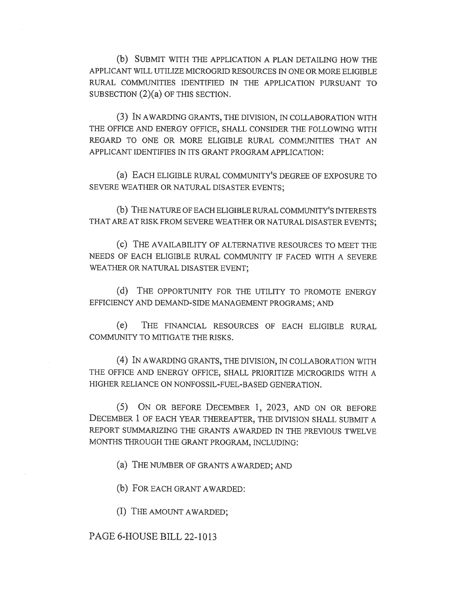(b) SUBMIT WITH THE APPLICATION A PLAN DETAILING HOW THE APPLICANT WILL UTILIZE MICROGRID RESOURCES IN ONE OR MORE ELIGIBLE RURAL COMMUNITIES IDENTIFIED IN THE APPLICATION PURSUANT TO SUBSECTION (2)(a) OF THIS SECTION.

(3) IN AWARDING GRANTS, THE DIVISION, IN COLLABORATION WITH THE OFFICE AND ENERGY OFFICE, SHALL CONSIDER THE FOLLOWING WITH REGARD TO ONE OR MORE ELIGIBLE RURAL COMMUNITIES THAT AN APPLICANT IDENTIFIES IN ITS GRANT PROGRAM APPLICATION:

(a) EACH ELIGIBLE RURAL COMMUNITY'S DEGREE OF EXPOSURE TO SEVERE WEATHER OR NATURAL DISASTER EVENTS;

(b) THE NATURE OF EACH ELIGIBLE RURAL COMMUNITY'S INTERESTS THAT ARE AT RISK FROM SEVERE WEATHER OR NATURAL DISASTER EVENTS;

(c) THE AVAILABILITY OF ALTERNATIVE RESOURCES TO MEET THE NEEDS OF EACH ELIGIBLE RURAL COMMUNITY IF FACED WITH A SEVERE WEATHER OR NATURAL DISASTER EVENT;

(d) THE OPPORTUNITY FOR THE UTILITY TO PROMOTE ENERGY EFFICIENCY AND DEMAND-SIDE MANAGEMENT PROGRAMS; AND

(e) THE FINANCIAL RESOURCES OF EACH ELIGIBLE RURAL COMMUNITY TO MITIGATE THE RISKS.

(4) IN AWARDING GRANTS, THE DIVISION, IN COLLABORATION WITH THE OFFICE AND ENERGY OFFICE, SHALL PRIORITIZE MICROGRIDS WITH A HIGHER RELIANCE ON NONFOSSIL-FUEL-BASED GENERATION.

(5) ON OR BEFORE DECEMBER 1, 2023, AND ON OR BEFORE DECEMBER 1 OF EACH YEAR THEREAFTER, THE DIVISION SHALL SUBMIT A REPORT SUMMARIZING THE GRANTS AWARDED IN THE PREVIOUS TWELVE MONTHS THROUGH THE GRANT PROGRAM, INCLUDING:

(a) THE NUMBER OF GRANTS AWARDED; AND

(b) FOR EACH GRANT AWARDED:

(I) THE AMOUNT AWARDED;

## PAGE 6-HOUSE BILL 22-1013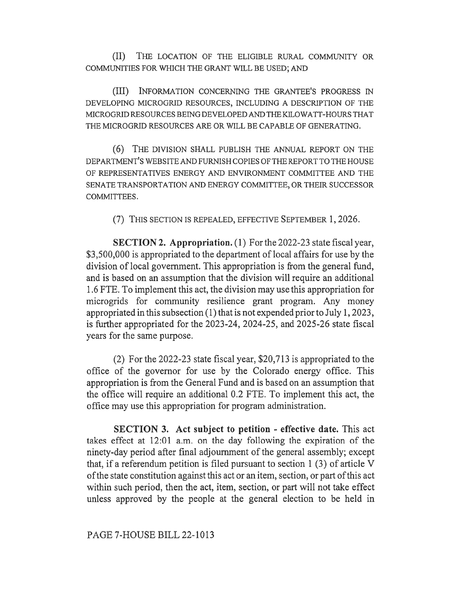(II) THE LOCATION OF THE ELIGIBLE RURAL COMMUNITY OR COMMUNITIES FOR WHICH THE GRANT WILL BE USED; AND

(III) INFORMATION CONCERNING THE GRANTEE'S PROGRESS IN DEVELOPING MICROGRID RESOURCES, INCLUDING A DESCRIPTION OF THE MICROGRID RESOURCES BEING DEVELOPED AND THE KILO WATT-HOURS THAT THE MICROGRID RESOURCES ARE OR WILL BE CAPABLE OF GENERATING.

(6) THE DIVISION SHALL PUBLISH THE ANNUAL REPORT ON THE DEPARTMENT'S WEBSITE AND FURNISH COPIES OF THE REPORT TO THE HOUSE OF REPRESENTATIVES ENERGY AND ENVIRONMENT COMMITTEE AND THE SENATE TRANSPORTATION AND ENERGY COMMITTEE, OR THEIR SUCCESSOR COMMITTEES.

(7) THIS SECTION IS REPEALED, EFFECTIVE SEPTEMBER 1, 2026.

SECTION 2. Appropriation. (1) For the 2022-23 state fiscal year, \$3,500,000 is appropriated to the department of local affairs for use by the division of local government. This appropriation is from the general fund, and is based on an assumption that the division will require an additional 1.6 FTE. To implement this act, the division may use this appropriation for microgrids for community resilience grant program. Any money appropriated in this subsection (1) that is not expended prior to July 1, 2023, is further appropriated for the 2023-24, 2024-25, and 2025-26 state fiscal years for the same purpose.

(2) For the 2022-23 state fiscal year, \$20,713 is appropriated to the office of the governor for use by the Colorado energy office. This appropriation is from the General Fund and is based on an assumption that the office will require an additional 0.2 FTE. To implement this act, the office may use this appropriation for program administration.

SECTION 3. Act subject to petition - effective date. This act takes effect at 12:01 a.m. on the day following the expiration of the ninety-day period after final adjournment of the general assembly; except that, if a referendum petition is filed pursuant to section 1 (3) of article V of the state constitution against this act or an item, section, or part of this act within such period, then the act, item, section, or part will not take effect unless approved by the people at the general election to be held in